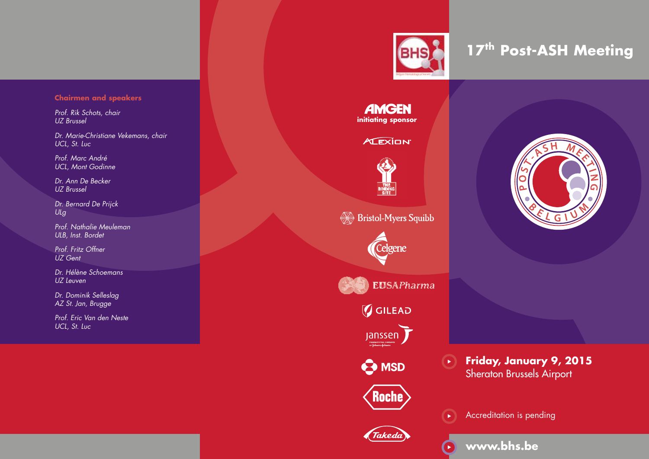# **Chairmen and speakers**

*Prof. Rik Schots, chair UZ Brussel*

*Dr. Marie-Christiane Vekemans, chair UCL, St. Luc*

*Prof. Marc André UCL, Mont Godinne)*

*Dr. Ann De Becker UZ Brussel*

*Dr. Bernard De Prijck ULg*

*Prof. Nathalie Meuleman ULB, Inst. Bordet*

*Prof. Fritz Offner UZ Gent*

*Dr. Hélène Schoemans UZ Leuven*

*Dr. Dominik Selleslag AZ St. Jan, Brugge*

*Prof. Eric Van den Neste UCL, St. Luc*



# **17th Post-ASH Meeting**

**AMGEN initiating sponsor**

# **ALEXION**



**Bristol-Myers Squibb** 





 $\mathcal G$  GILEAD





.<br>Takeda



**Friday, January 9, 2015** Sheraton Brussels Airport





 $\blacktriangleright$ 





**www.bhs.be**